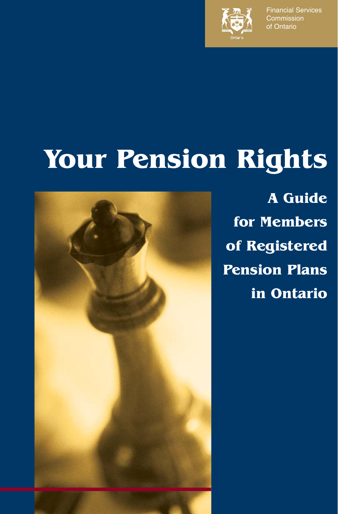

Financial Services **Commission** of Ontario

# **Your Pension Rights**



**A Guide for Members of Registered Pension Plans in Ontario**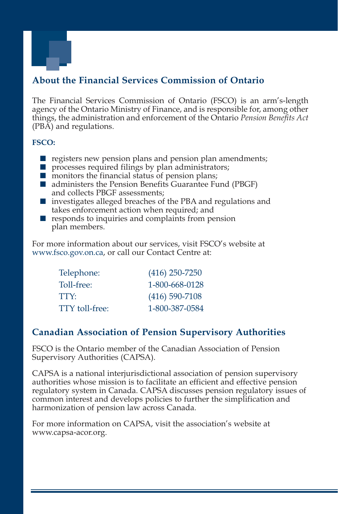

# **About the Financial Services Commission of Ontario**

The Financial Services Commission of Ontario (FSCO) is an arm's-length agency of the Ontario Ministry of Finance, and is responsible for, among other things, the administration and enforcement of the Ontario *Pension Benefits Act*  (PBA) and regulations.

#### **FSCO:**

- $\blacksquare$  registers new pension plans and pension plan amendments;
- processes required filings by plan administrators;
- $\blacksquare$  monitors the financial status of pension plans;
- administers the Pension Benefits Guarantee Fund (PBGF) and collects PBGF assessments;
- investigates alleged breaches of the PBA and regulations and takes enforcement action when required; and
- $\blacksquare$  responds to inquiries and complaints from pension plan members.

For more information about our services, visit FSCO's website at www.fsco.gov.on.ca, or call our Contact Centre at:

| Telephone:     | $(416)$ 250-7250 |
|----------------|------------------|
| Toll-free:     | 1-800-668-0128   |
| TTY:           | $(416)$ 590-7108 |
| TTY toll-free: | 1-800-387-0584   |

### **Canadian Association of Pension Supervisory Authorities**

FSCO is the Ontario member of the Canadian Association of Pension Supervisory Authorities (CAPSA).

CAPSA is a national interjurisdictional association of pension supervisory authorities whose mission is to facilitate an efficient and effective pension regulatory system in Canada. CAPSA discusses pension regulatory issues of common interest and develops policies to further the simplification and harmonization of pension law across Canada.

For more information on CAPSA, visit the association's website at www.capsa-acor.org.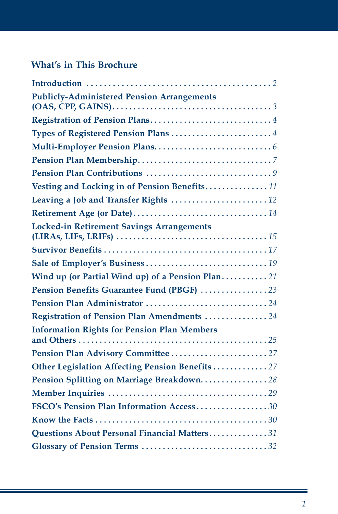# **What's in This Brochure**

| <b>Publicly-Administered Pension Arrangements</b>  |
|----------------------------------------------------|
|                                                    |
| Types of Registered Pension Plans 4                |
|                                                    |
|                                                    |
|                                                    |
| Vesting and Locking in of Pension Benefits11       |
|                                                    |
|                                                    |
| <b>Locked-in Retirement Savings Arrangements</b>   |
|                                                    |
|                                                    |
| Wind up (or Partial Wind up) of a Pension Plan21   |
| Pension Benefits Guarantee Fund (PBGF) 23          |
|                                                    |
| Registration of Pension Plan Amendments 24         |
| <b>Information Rights for Pension Plan Members</b> |
|                                                    |
| Other Legislation Affecting Pension Benefits  27   |
| Pension Splitting on Marriage Breakdown28          |
|                                                    |
| FSCO's Pension Plan Information Access30           |
|                                                    |
| Questions About Personal Financial Matters31       |
|                                                    |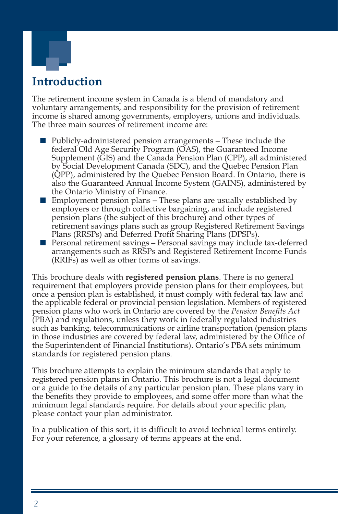

# **Introduction**

The retirement income system in Canada is a blend of mandatory and voluntary arrangements, and responsibility for the provision of retirement income is shared among governments, employers, unions and individuals. The three main sources of retirement income are:

- Publicly-administered pension arrangements These include the federal Old Age Security Program (OAS), the Guaranteed Income Supplement (GIS) and the Canada Pension Plan (CPP), all administered by Social Development Canada (SDC), and the Quebec Pension Plan (QPP), administered by the Quebec Pension Board. In Ontario, there is also the Guaranteed Annual Income System (GAINS), administered by the Ontario Ministry of Finance.
- $\blacksquare$  Employment pension plans These plans are usually established by employers or through collective bargaining, and include registered pension plans (the subject of this brochure) and other types of retirement savings plans such as group Registered Retirement Savings Plans (RRSPs) and Deferred Profit Sharing Plans (DPSPs).
- Personal retirement savings Personal savings may include tax-deferred arrangements such as RRSPs and Registered Retirement Income Funds (RRIFs) as well as other forms of savings.

This brochure deals with **registered pension plans**. There is no general requirement that employers provide pension plans for their employees, but once a pension plan is established, it must comply with federal tax law and the applicable federal or provincial pension legislation. Members of registered pension plans who work in Ontario are covered by the *Pension Benefits Act*  (PBA) and regulations, unless they work in federally regulated industries such as banking, telecommunications or airline transportation (pension plans in those industries are covered by federal law, administered by the Office of the Superintendent of Financial Institutions). Ontario's PBA sets minimum standards for registered pension plans.

This brochure attempts to explain the minimum standards that apply to registered pension plans in Ontario. This brochure is not a legal document or a guide to the details of any particular pension plan. These plans vary in the benefits they provide to employees, and some offer more than what the minimum legal standards require. For details about your specific plan, please contact your plan administrator.

In a publication of this sort, it is difficult to avoid technical terms entirely. For your reference, a glossary of terms appears at the end.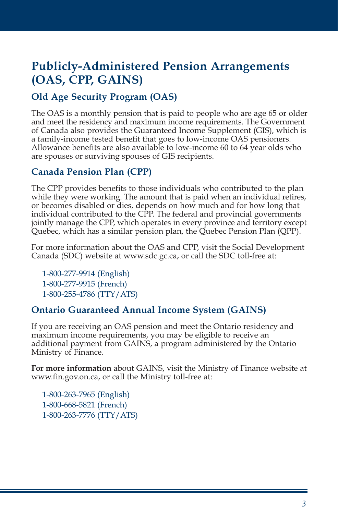# **Publicly-Administered Pension Arrangements (OAS, CPP, GAINS)**

# **Old Age Security Program (OAS)**

The OAS is a monthly pension that is paid to people who are age 65 or older and meet the residency and maximum income requirements. The Government of Canada also provides the Guaranteed Income Supplement (GIS), which is a family-income tested benefit that goes to low-income OAS pensioners. Allowance benefits are also available to low-income 60 to 64 year olds who are spouses or surviving spouses of GIS recipients.

### **Canada Pension Plan (CPP)**

The CPP provides benefits to those individuals who contributed to the plan while they were working. The amount that is paid when an individual retires, or becomes disabled or dies, depends on how much and for how long that individual contributed to the CPP. The federal and provincial governments jointly manage the CPP, which operates in every province and territory except Quebec, which has a similar pension plan, the Quebec Pension Plan (QPP).

For more information about the OAS and CPP, visit the Social Development Canada (SDC) website at www.sdc.gc.ca, or call the SDC toll-free at:

1-800-277-9914 (English) 1-800-277-9915 (French) 1-800-255-4786 (TTY/ATS)

### **Ontario Guaranteed Annual Income System (GAINS)**

If you are receiving an OAS pension and meet the Ontario residency and maximum income requirements, you may be eligible to receive an additional payment from GAINS, a program administered by the Ontario Ministry of Finance.

**For more information** about GAINS, visit the Ministry of Finance website at www.fin.gov.on.ca, or call the Ministry toll-free at:

1-800-263-7965 (English) 1-800-668-5821 (French) 1-800-263-7776 (TTY/ATS)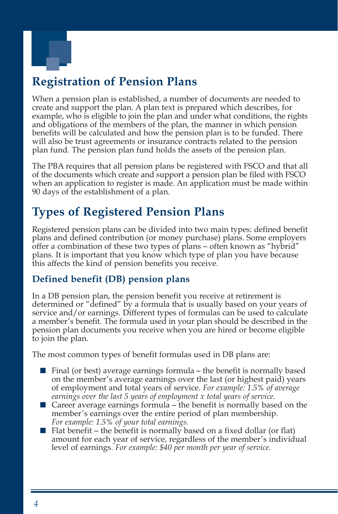

# **Registration of Pension Plans**

When a pension plan is established, a number of documents are needed to create and support the plan. A plan text is prepared which describes, for example, who is eligible to join the plan and under what conditions, the rights and obligations of the members of the plan, the manner in which pension benefits will be calculated and how the pension plan is to be funded. There will also be trust agreements or insurance contracts related to the pension plan fund. The pension plan fund holds the assets of the pension plan.

The PBA requires that all pension plans be registered with FSCO and that all of the documents which create and support a pension plan be filed with FSCO when an application to register is made. An application must be made within 90 days of the establishment of a plan.

# **Types of Registered Pension Plans**

Registered pension plans can be divided into two main types: defined benefit plans and defined contribution (or money purchase) plans. Some employers offer a combination of these two types of plans – often known as "hybrid" plans. It is important that you know which type of plan you have because this affects the kind of pension benefits you receive.

### **Defined benefit (DB) pension plans**

In a DB pension plan, the pension benefit you receive at retirement is determined or "defined" by a formula that is usually based on your years of service and/or earnings. Different types of formulas can be used to calculate a member's benefit. The formula used in your plan should be described in the pension plan documents you receive when you are hired or become eligible to join the plan.

The most common types of benefit formulas used in DB plans are:

- Final (or best) average earnings formula the benefit is normally based on the member's average earnings over the last (or highest paid) years of employment and total years of service. *For example: 1.5% of average earnings over the last 5 years of employment x total years of service.*
- Career average earnings formula the benefit is normally based on the member's earnings over the entire period of plan membership. *For example: 1.5% of your total earnings.*
- Flat benefit the benefit is normally based on a fixed dollar (or flat) amount for each year of service, regardless of the member's individual level of earnings. *For example: \$40 per month per year of service.*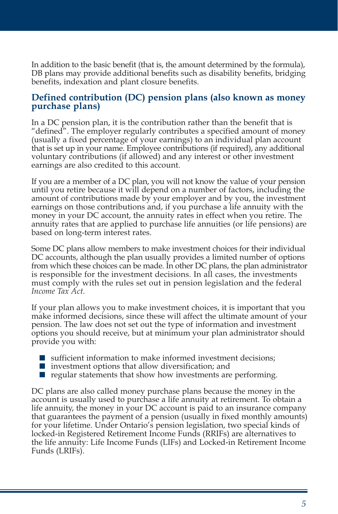In addition to the basic benefit (that is, the amount determined by the formula), DB plans may provide additional benefits such as disability benefits, bridging benefits, indexation and plant closure benefits.

#### **Defined contribution (DC) pension plans (also known as money purchase plans)**

In a DC pension plan, it is the contribution rather than the benefit that is "defined". The employer regularly contributes a specified amount of money (usually a fixed percentage of your earnings) to an individual plan account that is set up in your name. Employee contributions (if required), any additional voluntary contributions (if allowed) and any interest or other investment earnings are also credited to this account.

If you are a member of a DC plan, you will not know the value of your pension until you retire because it will depend on a number of factors, including the amount of contributions made by your employer and by you, the investment earnings on those contributions and, if you purchase a life annuity with the money in your DC account, the annuity rates in effect when you retire. The annuity rates that are applied to purchase life annuities (or life pensions) are based on long-term interest rates.

Some DC plans allow members to make investment choices for their individual DC accounts, although the plan usually provides a limited number of options from which these choices can be made. In other DC plans, the plan administrator is responsible for the investment decisions. In all cases, the investments must comply with the rules set out in pension legislation and the federal *Income Tax Act*.

If your plan allows you to make investment choices, it is important that you make informed decisions, since these will affect the ultimate amount of your pension. The law does not set out the type of information and investment options you should receive, but at minimum your plan administrator should provide you with:

- sufficient information to make informed investment decisions:
- investment options that allow diversification; and
- $\blacksquare$  regular statements that show how investments are performing.

DC plans are also called money purchase plans because the money in the account is usually used to purchase a life annuity at retirement. To obtain a life annuity, the money in your DC account is paid to an insurance company that guarantees the payment of a pension (usually in fixed monthly amounts) for your lifetime. Under Ontario's pension legislation, two special kinds of locked-in Registered Retirement Income Funds (RRIFs) are alternatives to the life annuity: Life Income Funds (LIFs) and Locked-in Retirement Income Funds (LRIFs).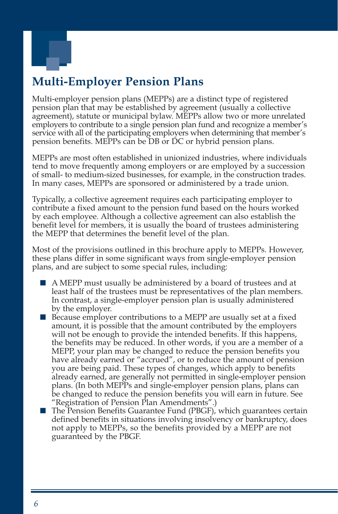

# **Multi-Employer Pension Plans**

Multi-employer pension plans (MEPPs) are a distinct type of registered pension plan that may be established by agreement (usually a collective agreement), statute or municipal bylaw. MEPPs allow two or more unrelated employers to contribute to a single pension plan fund and recognize a member's service with all of the participating employers when determining that member's pension benefits. MEPPs can be DB or DC or hybrid pension plans.

MEPPs are most often established in unionized industries, where individuals tend to move frequently among employers or are employed by a succession of small- to medium-sized businesses, for example, in the construction trades. In many cases, MEPPs are sponsored or administered by a trade union.

Typically, a collective agreement requires each participating employer to contribute a fixed amount to the pension fund based on the hours worked by each employee. Although a collective agreement can also establish the benefit level for members, it is usually the board of trustees administering the MEPP that determines the benefit level of the plan.

Most of the provisions outlined in this brochure apply to MEPPs. However, these plans differ in some significant ways from single-employer pension plans, and are subject to some special rules, including:

- A MEPP must usually be administered by a board of trustees and at least half of the trustees must be representatives of the plan members. In contrast, a single-employer pension plan is usually administered by the employer.
- Because employer contributions to a MEPP are usually set at a fixed amount, it is possible that the amount contributed by the employers will not be enough to provide the intended benefits. If this happens, the benefits may be reduced. In other words, if you are a member of a MEPP, your plan may be changed to reduce the pension benefits you have already earned or "accrued", or to reduce the amount of pension you are being paid. These types of changes, which apply to benefits already earned, are generally not permitted in single-employer pension plans. (In both MEPPs and single-employer pension plans, plans can be changed to reduce the pension benefits you will earn in future. See "Registration of Pension Plan Amendments".)
- The Pension Benefits Guarantee Fund (PBGF), which guarantees certain defined benefits in situations involving insolvency or bankruptcy, does not apply to MEPPs, so the benefits provided by a MEPP are not guaranteed by the PBGF.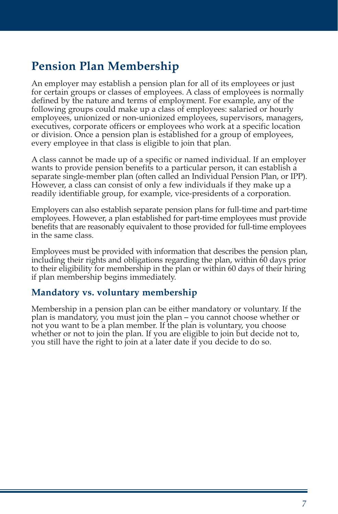# **Pension Plan Membership**

An employer may establish a pension plan for all of its employees or just for certain groups or classes of employees. A class of employees is normally defined by the nature and terms of employment. For example, any of the following groups could make up a class of employees: salaried or hourly employees, unionized or non-unionized employees, supervisors, managers, executives, corporate officers or employees who work at a specific location or division. Once a pension plan is established for a group of employees, every employee in that class is eligible to join that plan.

A class cannot be made up of a specific or named individual. If an employer wants to provide pension benefits to a particular person, it can establish a separate single-member plan (often called an Individual Pension Plan, or IPP). However, a class can consist of only a few individuals if they make up a readily identifiable group, for example, vice-presidents of a corporation.

Employers can also establish separate pension plans for full-time and part-time employees. However, a plan established for part-time employees must provide benefits that are reasonably equivalent to those provided for full-time employees in the same class.

Employees must be provided with information that describes the pension plan, including their rights and obligations regarding the plan, within 60 days prior to their eligibility for membership in the plan or within 60 days of their hiring if plan membership begins immediately.

#### **Mandatory vs. voluntary membership**

Membership in a pension plan can be either mandatory or voluntary. If the plan is mandatory, you must join the plan – you cannot choose whether or not you want to be a plan member. If the plan is voluntary, you choose whether or not to join the plan. If you are eligible to join but decide not to, you still have the right to join at a later date if you decide to do so.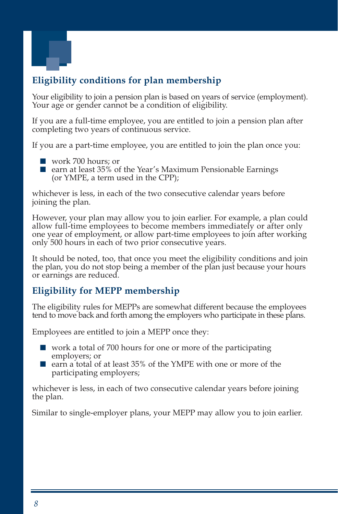

# **Eligibility conditions for plan membership**

Your eligibility to join a pension plan is based on years of service (employment). Your age or gender cannot be a condition of eligibility.

If you are a full-time employee, you are entitled to join a pension plan after completing two years of continuous service.

If you are a part-time employee, you are entitled to join the plan once you:

- work 700 hours; or
- earn at least 35% of the Year's Maximum Pensionable Earnings (or YMPE, a term used in the CPP);

whichever is less, in each of the two consecutive calendar years before joining the plan.

However, your plan may allow you to join earlier. For example, a plan could allow full-time employees to become members immediately or after only one year of employment, or allow part-time employees to join after working only 500 hours in each of two prior consecutive years.

It should be noted, too, that once you meet the eligibility conditions and join the plan, you do not stop being a member of the plan just because your hours or earnings are reduced.

### **Eligibility for MEPP membership**

The eligibility rules for MEPPs are somewhat different because the employees tend to move back and forth among the employers who participate in these plans.

Employees are entitled to join a MEPP once they:

- work a total of 700 hours for one or more of the participating employers; or
- earn a total of at least 35% of the YMPE with one or more of the participating employers;

whichever is less, in each of two consecutive calendar years before joining the plan.

Similar to single-employer plans, your MEPP may allow you to join earlier.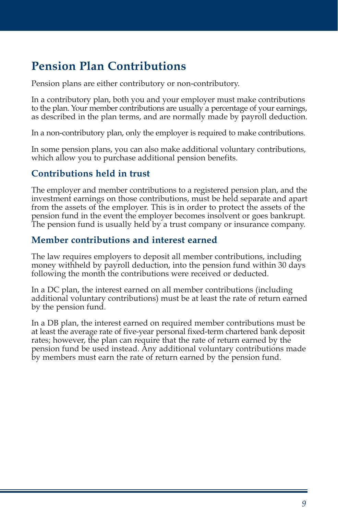# **Pension Plan Contributions**

Pension plans are either contributory or non-contributory.

In a contributory plan, both you and your employer must make contributions to the plan. Your member contributions are usually a percentage of your earnings, as described in the plan terms, and are normally made by payroll deduction.

In a non-contributory plan, only the employer is required to make contributions.

In some pension plans, you can also make additional voluntary contributions, which allow you to purchase additional pension benefits.

### **Contributions held in trust**

The employer and member contributions to a registered pension plan, and the investment earnings on those contributions, must be held separate and apart from the assets of the employer. This is in order to protect the assets of the pension fund in the event the employer becomes insolvent or goes bankrupt. The pension fund is usually held by a trust company or insurance company.

#### **Member contributions and interest earned**

The law requires employers to deposit all member contributions, including money withheld by payroll deduction, into the pension fund within 30 days following the month the contributions were received or deducted.

In a DC plan, the interest earned on all member contributions (including additional voluntary contributions) must be at least the rate of return earned by the pension fund.

In a DB plan, the interest earned on required member contributions must be at least the average rate of five-year personal fixed-term chartered bank deposit rates; however, the plan can require that the rate of return earned by the pension fund be used instead. Any additional voluntary contributions made by members must earn the rate of return earned by the pension fund.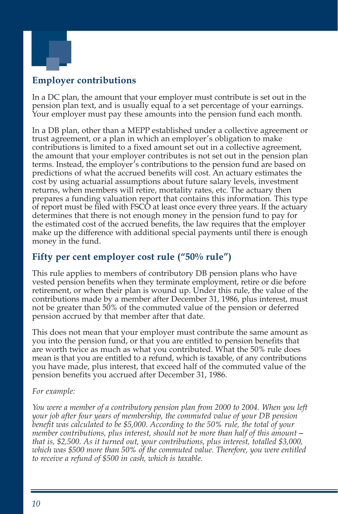

### **Employer contributions**

In a DC plan, the amount that your employer must contribute is set out in the pension plan text, and is usually equal to a set percentage of your earnings. Your employer must pay these amounts into the pension fund each month.

In a DB plan, other than a MEPP established under a collective agreement or trust agreement, or a plan in which an employer's obligation to make contributions is limited to a fixed amount set out in a collective agreement, the amount that your employer contributes is not set out in the pension plan terms. Instead, the employer's contributions to the pension fund are based on predictions of what the accrued benefits will cost. An actuary estimates the cost by using actuarial assumptions about future salary levels, investment returns, when members will retire, mortality rates, etc. The actuary then prepares a funding valuation report that contains this information. This type of report must be filed with FSCO at least once every three years. If the actuary determines that there is not enough money in the pension fund to pay for the estimated cost of the accrued benefits, the law requires that the employer make up the difference with additional special payments until there is enough money in the fund.

### **Fifty per cent employer cost rule ("50% rule")**

This rule applies to members of contributory DB pension plans who have vested pension benefits when they terminate employment, retire or die before retirement, or when their plan is wound up. Under this rule, the value of the contributions made by a member after December 31, 1986, plus interest, must not be greater than 50% of the commuted value of the pension or deferred pension accrued by that member after that date.

This does not mean that your employer must contribute the same amount as you into the pension fund, or that you are entitled to pension benefits that are worth twice as much as what you contributed. What the 50% rule does mean is that you are entitled to a refund, which is taxable, of any contributions you have made, plus interest, that exceed half of the commuted value of the pension benefits you accrued after December 31, 1986.

#### *For example:*

*You were a member of a contributory pension plan from 2000 to 2004. When you left your job after four years of membership, the commuted value of your DB pension benefit was calculated to be \$5,000. According to the 50% rule, the total of your member contributions, plus interest, should not be more than half of this amount – that is, \$2,500. As it turned out, your contributions, plus interest, totalled \$3,000, which was \$500 more than 50% of the commuted value. Therefore, you were entitled to receive a refund of \$500 in cash, which is taxable.*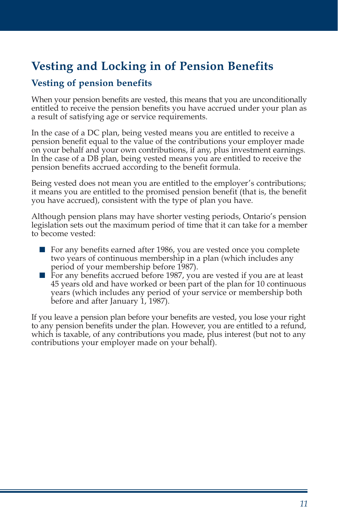# **Vesting and Locking in of Pension Benefits**

### **Vesting of pension benefits**

When your pension benefits are vested, this means that you are unconditionally entitled to receive the pension benefits you have accrued under your plan as a result of satisfying age or service requirements.

In the case of a DC plan, being vested means you are entitled to receive a pension benefit equal to the value of the contributions your employer made on your behalf and your own contributions, if any, plus investment earnings. In the case of a DB plan, being vested means you are entitled to receive the pension benefits accrued according to the benefit formula.

Being vested does not mean you are entitled to the employer's contributions; it means you are entitled to the promised pension benefit (that is, the benefit you have accrued), consistent with the type of plan you have.

Although pension plans may have shorter vesting periods, Ontario's pension legislation sets out the maximum period of time that it can take for a member to become vested:

- For any benefits earned after 1986, you are vested once you complete two years of continuous membership in a plan (which includes any period of your membership before 1987).
- For any benefits accrued before 1987, you are vested if you are at least 45 years old and have worked or been part of the plan for 10 continuous years (which includes any period of your service or membership both before and after January 1, 1987).

If you leave a pension plan before your benefits are vested, you lose your right to any pension benefits under the plan. However, you are entitled to a refund, which is taxable, of any contributions you made, plus interest (but not to any contributions your employer made on your behalf).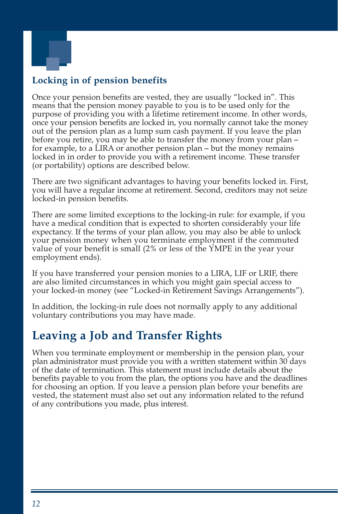

# **Locking in of pension benefits**

Once your pension benefits are vested, they are usually "locked in". This means that the pension money payable to you is to be used only for the purpose of providing you with a lifetime retirement income. In other words, once your pension benefits are locked in, you normally cannot take the money out of the pension plan as a lump sum cash payment. If you leave the plan before you retire, you may be able to transfer the money from your plan for example, to a LIRA or another pension plan – but the money remains locked in in order to provide you with a retirement income. These transfer (or portability) options are described below.

There are two significant advantages to having your benefits locked in. First, you will have a regular income at retirement. Second, creditors may not seize locked-in pension benefits.

There are some limited exceptions to the locking-in rule: for example, if you have a medical condition that is expected to shorten considerably your life expectancy. If the terms of your plan allow, you may also be able to unlock your pension money when you terminate employment if the commuted value of your benefit is small (2% or less of the YMPE in the year your employment ends).

If you have transferred your pension monies to a LIRA, LIF or LRIF, there are also limited circumstances in which you might gain special access to your locked-in money (see "Locked-in Retirement Savings Arrangements").

In addition, the locking-in rule does not normally apply to any additional voluntary contributions you may have made.

# **Leaving a Job and Transfer Rights**

When you terminate employment or membership in the pension plan, your plan administrator must provide you with a written statement within 30 days of the date of termination. This statement must include details about the benefits payable to you from the plan, the options you have and the deadlines for choosing an option. If you leave a pension plan before your benefits are vested, the statement must also set out any information related to the refund of any contributions you made, plus interest.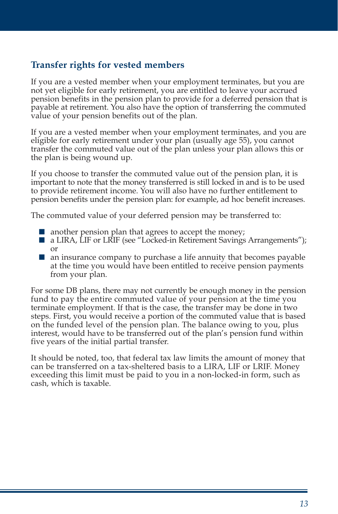### **Transfer rights for vested members**

If you are a vested member when your employment terminates, but you are not yet eligible for early retirement, you are entitled to leave your accrued pension benefits in the pension plan to provide for a deferred pension that is payable at retirement. You also have the option of transferring the commuted value of your pension benefits out of the plan.

If you are a vested member when your employment terminates, and you are eligible for early retirement under your plan (usually age 55), you cannot transfer the commuted value out of the plan unless your plan allows this or the plan is being wound up.

If you choose to transfer the commuted value out of the pension plan, it is important to note that the money transferred is still locked in and is to be used to provide retirement income. You will also have no further entitlement to pension benefits under the pension plan: for example, ad hoc benefit increases.

The commuted value of your deferred pension may be transferred to:

- $\blacksquare$  another pension plan that agrees to accept the money;
- a LIRA, LIF or LRIF (see "Locked-in Retirement Savings Arrangements"); or
- an insurance company to purchase a life annuity that becomes payable at the time you would have been entitled to receive pension payments from your plan.

For some DB plans, there may not currently be enough money in the pension fund to pay the entire commuted value of your pension at the time you terminate employment. If that is the case, the transfer may be done in two steps. First, you would receive a portion of the commuted value that is based on the funded level of the pension plan. The balance owing to you, plus interest, would have to be transferred out of the plan's pension fund within five years of the initial partial transfer.

It should be noted, too, that federal tax law limits the amount of money that can be transferred on a tax-sheltered basis to a LIRA, LIF or LRIF. Money exceeding this limit must be paid to you in a non-locked-in form, such as cash, which is taxable.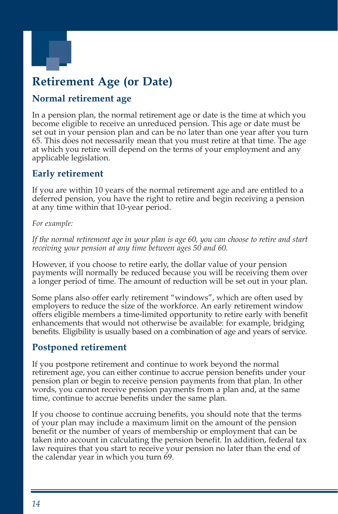

# **Retirement Age (or Date)**

### **Normal retirement age**

In a pension plan, the normal retirement age or date is the time at which you become eligible to receive an unreduced pension. This age or date must be set out in your pension plan and can be no later than one year after you turn 65. This does not necessarily mean that you must retire at that time. The age at which you retire will depend on the terms of your employment and any applicable legislation.

### **Early retirement**

If you are within 10 years of the normal retirement age and are entitled to a deferred pension, you have the right to retire and begin receiving a pension at any time within that 10-year period.

#### *For example:*

*If the normal retirement age in your plan is age 60, you can choose to retire and start receiving your pension at any time between ages 50 and 60.* 

However, if you choose to retire early, the dollar value of your pension payments will normally be reduced because you will be receiving them over a longer period of time. The amount of reduction will be set out in your plan.

Some plans also offer early retirement "windows", which are often used by employers to reduce the size of the workforce. An early retirement window offers eligible members a time-limited opportunity to retire early with benefit enhancements that would not otherwise be available: for example, bridging benefits. Eligibility is usually based on a combination of age and years of service.

### **Postponed retirement**

If you postpone retirement and continue to work beyond the normal retirement age, you can either continue to accrue pension benefits under your pension plan or begin to receive pension payments from that plan. In other words, you cannot receive pension payments from a plan and, at the same time, continue to accrue benefits under the same plan.

If you choose to continue accruing benefits, you should note that the terms of your plan may include a maximum limit on the amount of the pension benefit or the number of years of membership or employment that can be taken into account in calculating the pension benefit. In addition, federal tax law requires that you start to receive your pension no later than the end of the calendar year in which you turn 69.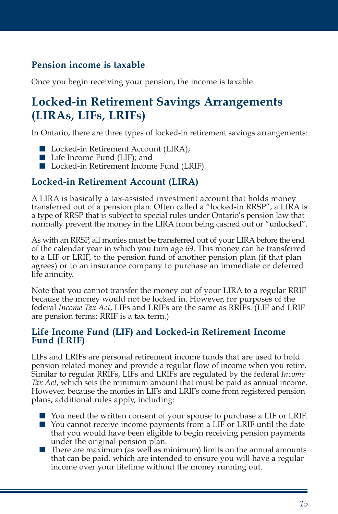# **Pension income is taxable**

Once you begin receiving your pension, the income is taxable.

# **Locked-in Retirement Savings Arrangements (LIRAs, LIFs, LRIFs)**

In Ontario, there are three types of locked-in retirement savings arrangements:

- Locked-in Retirement Account (LIRA);
- Life Income Fund (LIF); and
- Locked-in Retirement Income Fund (LRIF).

### **Locked-in Retirement Account (LIRA)**

A LIRA is basically a tax-assisted investment account that holds money transferred out of a pension plan. Often called a "locked-in RRSP", a LIRA is a type of RRSP that is subject to special rules under Ontario's pension law that normally prevent the money in the LIRA from being cashed out or "unlocked".

As with an RRSP, all monies must be transferred out of your LIRA before the end of the calendar year in which you turn age 69. This money can be transferred to a LIF or LRIF, to the pension fund of another pension plan (if that plan agrees) or to an insurance company to purchase an immediate or deferred life annuity.

Note that you cannot transfer the money out of your LIRA to a regular RRIF because the money would not be locked in. However, for purposes of the federal *Income Tax Act*, LIFs and LRIFs are the same as RRIFs. (LIF and LRIF are pension terms; RRIF is a tax term.)

#### **Life Income Fund (LIF) and Locked-in Retirement Income Fund (LRIF)**

LIFs and LRIFs are personal retirement income funds that are used to hold pension-related money and provide a regular flow of income when you retire. Similar to regular RRIFs, LIFs and LRIFs are regulated by the federal *Income Tax Act*, which sets the minimum amount that must be paid as annual income. However, because the monies in LIFs and LRIFs come from registered pension plans, additional rules apply, including:

- You need the written consent of your spouse to purchase a LIF or LRIF. ■ You cannot receive income payments from a LIF or LRIF until the date that you would have been eligible to begin receiving pension payments under the original pension plan.
- There are maximum (as well as minimum) limits on the annual amounts that can be paid, which are intended to ensure you will have a regular income over your lifetime without the money running out.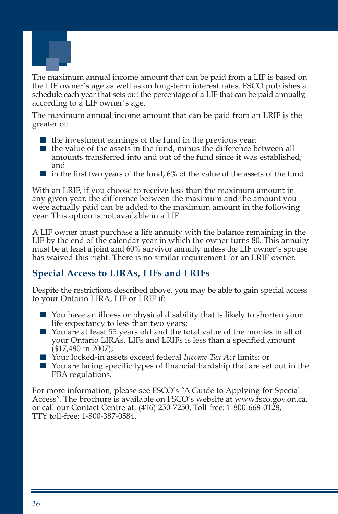

The maximum annual income amount that can be paid from a LIF is based on the LIF owner's age as well as on long-term interest rates. FSCO publishes a schedule each year that sets out the percentage of a LIF that can be paid annually, according to a LIF owner's age.

The maximum annual income amount that can be paid from an LRIF is the greater of:

- $\blacksquare$  the investment earnings of the fund in the previous year;
- the value of the assets in the fund, minus the difference between all amounts transferred into and out of the fund since it was established; and
- $\blacksquare$  in the first two years of the fund, 6% of the value of the assets of the fund.

With an LRIF, if you choose to receive less than the maximum amount in any given year, the difference between the maximum and the amount you were actually paid can be added to the maximum amount in the following year. This option is not available in a LIF.

A LIF owner must purchase a life annuity with the balance remaining in the LIF by the end of the calendar year in which the owner turns 80. This annuity must be at least a joint and 60% survivor annuity unless the LIF owner's spouse has waived this right. There is no similar requirement for an LRIF owner.

### **Special Access to LIRAs, LIFs and LRIFs**

Despite the restrictions described above, you may be able to gain special access to your Ontario LIRA, LIF or LRIF if:

- You have an illness or physical disability that is likely to shorten your life expectancy to less than two years;
- You are at least 55 years old and the total value of the monies in all of your Ontario LIRAs, LIFs and LRIFs is less than a specified amount (\$17,480 in 2007);
- Your locked-in assets exceed federal *Income Tax Act* limits; or
- You are facing specific types of financial hardship that are set out in the PBA regulations.

For more information, please see FSCO's "A Guide to Applying for Special Access". The brochure is available on FSCO's website at www.fsco.gov.on.ca, or call our Contact Centre at: (416) 250-7250, Toll free: 1-800-668-0128, TTY toll-free: 1-800-387-0584.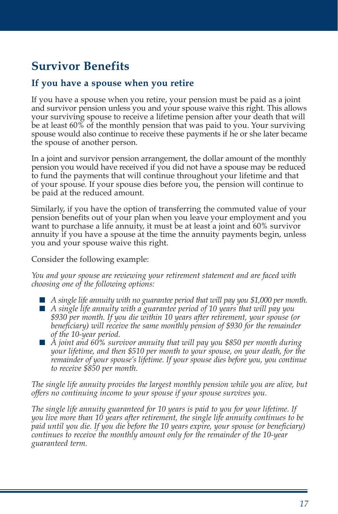# **Survivor Benefits**

### **If you have a spouse when you retire**

If you have a spouse when you retire, your pension must be paid as a joint and survivor pension unless you and your spouse waive this right. This allows your surviving spouse to receive a lifetime pension after your death that will be at least 60% of the monthly pension that was paid to you. Your surviving spouse would also continue to receive these payments if he or she later became the spouse of another person.

In a joint and survivor pension arrangement, the dollar amount of the monthly pension you would have received if you did not have a spouse may be reduced to fund the payments that will continue throughout your lifetime and that of your spouse. If your spouse dies before you, the pension will continue to be paid at the reduced amount.

Similarly, if you have the option of transferring the commuted value of your pension benefits out of your plan when you leave your employment and you want to purchase a life annuity, it must be at least a joint and 60% survivor annuity if you have a spouse at the time the annuity payments begin, unless you and your spouse waive this right.

Consider the following example:

*You and your spouse are reviewing your retirement statement and are faced with choosing one of the following options:* 

- *A single life annuity with no guarantee period that will pay you \$1,000 per month.*
- *A single life annuity with a guarantee period of 10 years that will pay you \$930 per month. If you die within 10 years after retirement, your spouse (or beneficiary) will receive the same monthly pension of \$930 for the remainder of the 10-year period.*
- *A joint and 60% survivor annuity that will pay you \$850 per month during your lifetime, and then \$510 per month to your spouse, on your death, for the remainder of your spouse's lifetime. If your spouse dies before you, you continue to receive \$850 per month.*

*The single life annuity provides the largest monthly pension while you are alive, but offers no continuing income to your spouse if your spouse survives you.* 

*The single life annuity guaranteed for 10 years is paid to you for your lifetime. If you live more than 10 years after retirement, the single life annuity continues to be paid until you die. If you die before the 10 years expire, your spouse (or beneficiary) continues to receive the monthly amount only for the remainder of the 10-year guaranteed term.*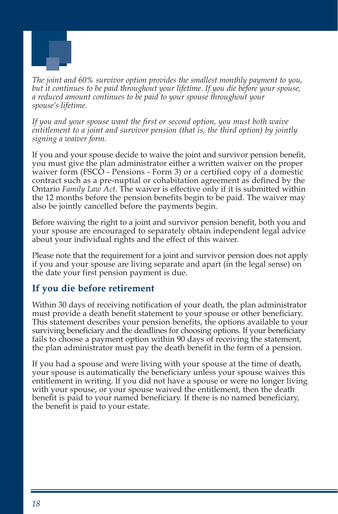

*The joint and 60% survivor option provides the smallest monthly payment to you, but it continues to be paid throughout your lifetime. If you die before your spouse, a reduced amount continues to be paid to your spouse throughout your spouse's lifetime.* 

*If you and your spouse want the first or second option, you must both waive entitlement to a joint and survivor pension (that is, the third option) by jointly signing a waiver form.* 

If you and your spouse decide to waive the joint and survivor pension benefit, you must give the plan administrator either a written waiver on the proper waiver form (FSCO - Pensions - Form 3) or a certified copy of a domestic contract such as a pre-nuptial or cohabitation agreement as defined by the Ontario *Family Law Act*. The waiver is effective only if it is submitted within the 12 months before the pension benefits begin to be paid. The waiver may also be jointly cancelled before the payments begin.

Before waiving the right to a joint and survivor pension benefit, both you and your spouse are encouraged to separately obtain independent legal advice about your individual rights and the effect of this waiver.

Please note that the requirement for a joint and survivor pension does not apply if you and your spouse are living separate and apart (in the legal sense) on the date your first pension payment is due.

### **If you die before retirement**

Within 30 days of receiving notification of your death, the plan administrator must provide a death benefit statement to your spouse or other beneficiary. This statement describes your pension benefits, the options available to your surviving beneficiary and the deadlines for choosing options. If your beneficiary fails to choose a payment option within 90 days of receiving the statement, the plan administrator must pay the death benefit in the form of a pension.

If you had a spouse and were living with your spouse at the time of death, your spouse is automatically the beneficiary unless your spouse waives this entitlement in writing. If you did not have a spouse or were no longer living with your spouse, or your spouse waived the entitlement, then the death benefit is paid to your named beneficiary. If there is no named beneficiary, the benefit is paid to your estate.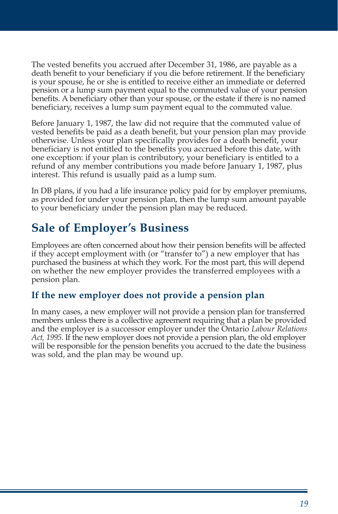The vested benefits you accrued after December 31, 1986, are payable as a death benefit to your beneficiary if you die before retirement. If the beneficiary is your spouse, he or she is entitled to receive either an immediate or deferred pension or a lump sum payment equal to the commuted value of your pension benefits. A beneficiary other than your spouse, or the estate if there is no named beneficiary, receives a lump sum payment equal to the commuted value.

Before January 1, 1987, the law did not require that the commuted value of vested benefits be paid as a death benefit, but your pension plan may provide otherwise. Unless your plan specifically provides for a death benefit, your beneficiary is not entitled to the benefits you accrued before this date, with one exception: if your plan is contributory, your beneficiary is entitled to a refund of any member contributions you made before January 1, 1987, plus interest. This refund is usually paid as a lump sum.

In DB plans, if you had a life insurance policy paid for by employer premiums, as provided for under your pension plan, then the lump sum amount payable to your beneficiary under the pension plan may be reduced.

# **Sale of Employer's Business**

Employees are often concerned about how their pension benefits will be affected if they accept employment with (or "transfer to") a new employer that has purchased the business at which they work. For the most part, this will depend on whether the new employer provides the transferred employees with a pension plan.

### **If the new employer does not provide a pension plan**

In many cases, a new employer will not provide a pension plan for transferred members unless there is a collective agreement requiring that a plan be provided and the employer is a successor employer under the Ontario *Labour Relations Act, 1995*. If the new employer does not provide a pension plan, the old employer will be responsible for the pension benefits you accrued to the date the business was sold, and the plan may be wound up.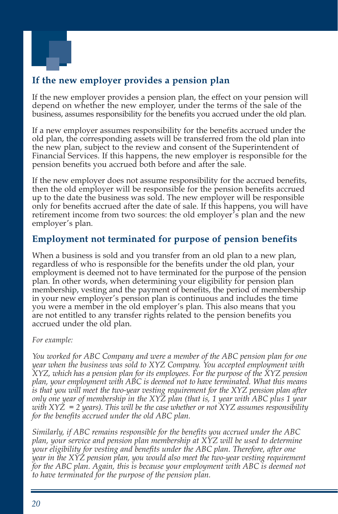

# **If the new employer provides a pension plan**

If the new employer provides a pension plan, the effect on your pension will depend on whether the new employer, under the terms of the sale of the business, assumes responsibility for the benefits you accrued under the old plan.

If a new employer assumes responsibility for the benefits accrued under the old plan, the corresponding assets will be transferred from the old plan into the new plan, subject to the review and consent of the Superintendent of Financial Services. If this happens, the new employer is responsible for the pension benefits you accrued both before and after the sale.

If the new employer does not assume responsibility for the accrued benefits, then the old employer will be responsible for the pension benefits accrued up to the date the business was sold. The new employer will be responsible only for benefits accrued after the date of sale. If this happens, you will have retirement income from two sources: the old employer's plan and the new employer's plan.

### **Employment not terminated for purpose of pension benefits**

When a business is sold and you transfer from an old plan to a new plan, regardless of who is responsible for the benefits under the old plan, your employment is deemed not to have terminated for the purpose of the pension plan. In other words, when determining your eligibility for pension plan membership, vesting and the payment of benefits, the period of membership in your new employer's pension plan is continuous and includes the time you were a member in the old employer's plan. This also means that you are not entitled to any transfer rights related to the pension benefits you accrued under the old plan.

#### *For example:*

*You worked for ABC Company and were a member of the ABC pension plan for one year when the business was sold to XYZ Company. You accepted employment with XYZ, which has a pension plan for its employees. For the purpose of the XYZ pension plan, your employment with ABC is deemed not to have terminated. What this means is that you will meet the two-year vesting requirement for the XYZ pension plan after only one year of membership in the XYZ plan (that is, 1 year with ABC plus 1 year with XYZ = 2 years). This will be the case whether or not XYZ assumes responsibility for the benefits accrued under the old ABC plan.* 

*Similarly, if ABC remains responsible for the benefits you accrued under the ABC plan, your service and pension plan membership at XYZ will be used to determine your eligibility for vesting and benefits under the ABC plan. Therefore, after one year in the XYZ pension plan, you would also meet the two-year vesting requirement for the ABC plan. Again, this is because your employment with ABC is deemed not to have terminated for the purpose of the pension plan.*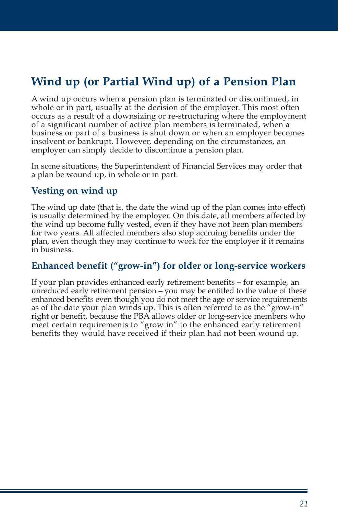# **Wind up (or Partial Wind up) of a Pension Plan**

A wind up occurs when a pension plan is terminated or discontinued, in whole or in part, usually at the decision of the employer. This most often occurs as a result of a downsizing or re-structuring where the employment of a significant number of active plan members is terminated, when a business or part of a business is shut down or when an employer becomes insolvent or bankrupt. However, depending on the circumstances, an employer can simply decide to discontinue a pension plan.

In some situations, the Superintendent of Financial Services may order that a plan be wound up, in whole or in part.

#### **Vesting on wind up**

The wind up date (that is, the date the wind up of the plan comes into effect) is usually determined by the employer. On this date, all members affected by the wind up become fully vested, even if they have not been plan members for two years. All affected members also stop accruing benefits under the plan, even though they may continue to work for the employer if it remains in business.

### **Enhanced benefit ("grow-in") for older or long-service workers**

If your plan provides enhanced early retirement benefits – for example, an unreduced early retirement pension – you may be entitled to the value of these enhanced benefits even though you do not meet the age or service requirements as of the date your plan winds up. This is often referred to as the "grow-in" right or benefit, because the PBA allows older or long-service members who meet certain requirements to "grow in" to the enhanced early retirement benefits they would have received if their plan had not been wound up.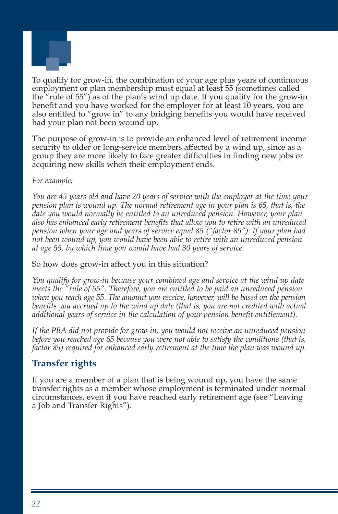

To qualify for grow-in, the combination of your age plus years of continuous employment or plan membership must equal at least 55 (sometimes called the "rule of 55") as of the plan's wind up date. If you qualify for the grow-in benefit and you have worked for the employer for at least 10 years, you are also entitled to "grow in" to any bridging benefits you would have received had your plan not been wound up.

The purpose of grow-in is to provide an enhanced level of retirement income security to older or long-service members affected by a wind up, since as a group they are more likely to face greater difficulties in finding new jobs or acquiring new skills when their employment ends.

#### *For example:*

*You are 45 years old and have 20 years of service with the employer at the time your pension plan is wound up. The normal retirement age in your plan is 65, that is, the date you would normally be entitled to an unreduced pension. However, your plan also has enhanced early retirement benefits that allow you to retire with an unreduced pension when your age and years of service equal 85 ("factor 85"). If your plan had not been wound up, you would have been able to retire with an unreduced pension at age 55, by which time you would have had 30 years of service.* 

#### So how does grow-in affect you in this situation?

*You qualify for grow-in because your combined age and service at the wind up date meets the "rule of 55". Therefore, you are entitled to be paid an unreduced pension when you reach age 55. The amount you receive, however, will be based on the pension benefits you accrued up to the wind up date (that is, you are not credited with actual additional years of service in the calculation of your pension benefit entitlement).* 

*If the PBA did not provide for grow-in, you would not receive an unreduced pension before you reached age 65 because you were not able to satisfy the conditions (that is, factor 85) required for enhanced early retirement at the time the plan was wound up.* 

### **Transfer rights**

If you are a member of a plan that is being wound up, you have the same transfer rights as a member whose employment is terminated under normal circumstances, even if you have reached early retirement age (see "Leaving a Job and Transfer Rights").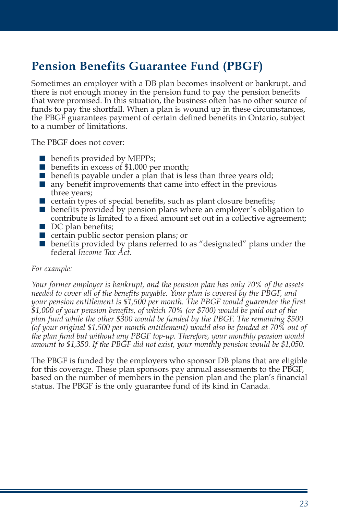# **Pension Benefits Guarantee Fund (PBGF)**

Sometimes an employer with a DB plan becomes insolvent or bankrupt, and there is not enough money in the pension fund to pay the pension benefits that were promised. In this situation, the business often has no other source of funds to pay the shortfall. When a plan is wound up in these circumstances, the PBGF guarantees payment of certain defined benefits in Ontario, subject to a number of limitations.

The PBGF does not cover:

- benefits provided by MEPPs;
- benefits in excess of \$1,000 per month;
- $\blacksquare$  benefits payable under a plan that is less than three years old;
- $\blacksquare$  any benefit improvements that came into effect in the previous three years;
- $\blacksquare$  certain types of special benefits, such as plant closure benefits;
- benefits provided by pension plans where an employer's obligation to contribute is limited to a fixed amount set out in a collective agreement;
- DC plan benefits;
- certain public sector pension plans; or
- benefits provided by plans referred to as "designated" plans under the federal *Income Tax Act*.

#### *For example:*

*Your former employer is bankrupt, and the pension plan has only 70% of the assets needed to cover all of the benefits payable. Your plan is covered by the PBGF, and your pension entitlement is \$1,500 per month. The PBGF would guarantee the first \$1,000 of your pension benefits, of which 70% (or \$700) would be paid out of the plan fund while the other \$300 would be funded by the PBGF. The remaining \$500 (of your original \$1,500 per month entitlement) would also be funded at 70% out of the plan fund but without any PBGF top-up. Therefore, your monthly pension would amount to \$1,350. If the PBGF did not exist, your monthly pension would be \$1,050.* 

The PBGF is funded by the employers who sponsor DB plans that are eligible for this coverage. These plan sponsors pay annual assessments to the PBGF, based on the number of members in the pension plan and the plan's financial status. The PBGF is the only guarantee fund of its kind in Canada.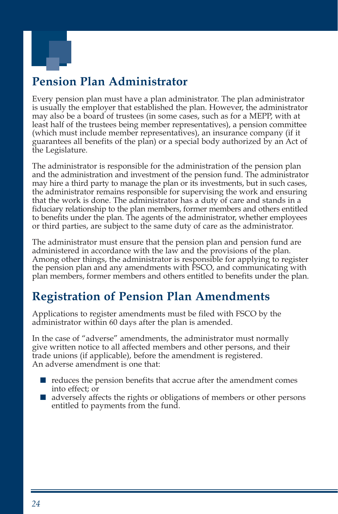

# **Pension Plan Administrator**

Every pension plan must have a plan administrator. The plan administrator is usually the employer that established the plan. However, the administrator may also be a board of trustees (in some cases, such as for a MEPP, with at least half of the trustees being member representatives), a pension committee (which must include member representatives), an insurance company (if it guarantees all benefits of the plan) or a special body authorized by an Act of the Legislature.

The administrator is responsible for the administration of the pension plan and the administration and investment of the pension fund. The administrator may hire a third party to manage the plan or its investments, but in such cases, the administrator remains responsible for supervising the work and ensuring that the work is done. The administrator has a duty of care and stands in a fiduciary relationship to the plan members, former members and others entitled to benefits under the plan. The agents of the administrator, whether employees or third parties, are subject to the same duty of care as the administrator.

The administrator must ensure that the pension plan and pension fund are administered in accordance with the law and the provisions of the plan. Among other things, the administrator is responsible for applying to register the pension plan and any amendments with FSCO, and communicating with plan members, former members and others entitled to benefits under the plan.

# **Registration of Pension Plan Amendments**

Applications to register amendments must be filed with FSCO by the administrator within 60 days after the plan is amended.

In the case of "adverse" amendments, the administrator must normally give written notice to all affected members and other persons, and their trade unions (if applicable), before the amendment is registered. An adverse amendment is one that:

- reduces the pension benefits that accrue after the amendment comes into effect; or
- adversely affects the rights or obligations of members or other persons entitled to payments from the fund.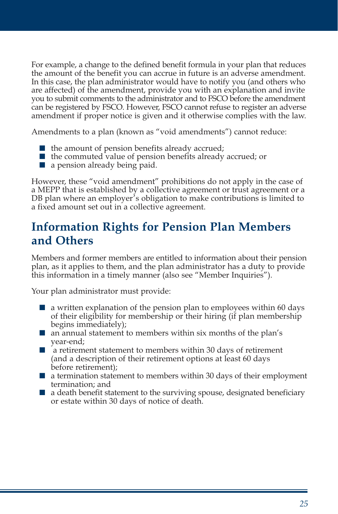For example, a change to the defined benefit formula in your plan that reduces the amount of the benefit you can accrue in future is an adverse amendment. In this case, the plan administrator would have to notify you (and others who are affected) of the amendment, provide you with an explanation and invite you to submit comments to the administrator and to FSCO before the amendment can be registered by FSCO. However, FSCO cannot refuse to register an adverse amendment if proper notice is given and it otherwise complies with the law.

Amendments to a plan (known as "void amendments") cannot reduce:

- $\blacksquare$  the amount of pension benefits already accrued;
- the commuted value of pension benefits already accrued; or
- a pension already being paid.

However, these "void amendment" prohibitions do not apply in the case of a MEPP that is established by a collective agreement or trust agreement or a DB plan where an employer's obligation to make contributions is limited to a fixed amount set out in a collective agreement.

# **Information Rights for Pension Plan Members and Others**

Members and former members are entitled to information about their pension plan, as it applies to them, and the plan administrator has a duty to provide this information in a timely manner (also see "Member Inquiries").

Your plan administrator must provide:

- a written explanation of the pension plan to employees within 60 days of their eligibility for membership or their hiring (if plan membership begins immediately);
- an annual statement to members within six months of the plan's year-end;
- a retirement statement to members within 30 days of retirement (and a description of their retirement options at least 60 days before retirement);
- a termination statement to members within 30 days of their employment termination; and
- a death benefit statement to the surviving spouse, designated beneficiary or estate within 30 days of notice of death.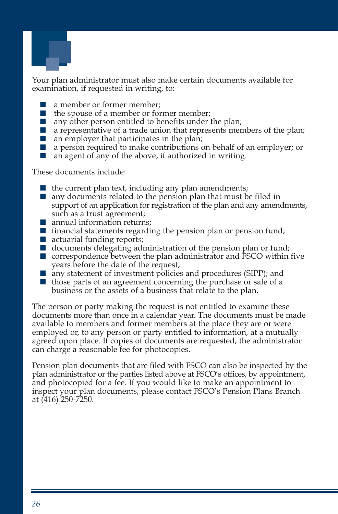

Your plan administrator must also make certain documents available for examination, if requested in writing, to:

- a member or former member;
- the spouse of a member or former member;
- any other person entitled to benefits under the plan;
- a representative of a trade union that represents members of the plan;
- an employer that participates in the plan;
- a person required to make contributions on behalf of an employer; or
- an agent of any of the above, if authorized in writing.

These documents include:

- $\blacksquare$  the current plan text, including any plan amendments;
- any documents related to the pension plan that must be filed in support of an application for registration of the plan and any amendments, such as a trust agreement;
- annual information returns;
- $\blacksquare$  financial statements regarding the pension plan or pension fund;
- actuarial funding reports;
- $\blacksquare$  documents delegating administration of the pension plan or fund;
- correspondence between the plan administrator and FSCO within five years before the date of the request;
- any statement of investment policies and procedures (SIPP); and
- those parts of an agreement concerning the purchase or sale of a business or the assets of a business that relate to the plan.

The person or party making the request is not entitled to examine these documents more than once in a calendar year. The documents must be made available to members and former members at the place they are or were employed or, to any person or party entitled to information, at a mutually agreed upon place. If copies of documents are requested, the administrator can charge a reasonable fee for photocopies.

Pension plan documents that are filed with FSCO can also be inspected by the plan administrator or the parties listed above at FSCO's offices, by appointment, and photocopied for a fee. If you would like to make an appointment to inspect your plan documents, please contact FSCO's Pension Plans Branch at (416) 250-7250.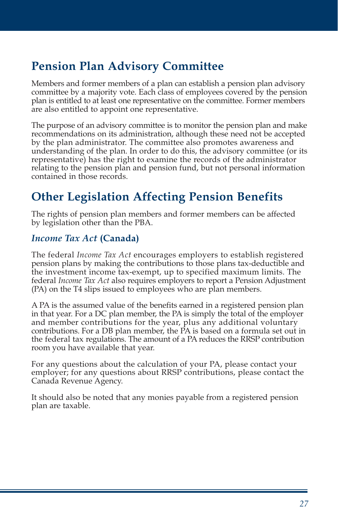# **Pension Plan Advisory Committee**

Members and former members of a plan can establish a pension plan advisory committee by a majority vote. Each class of employees covered by the pension plan is entitled to at least one representative on the committee. Former members are also entitled to appoint one representative.

The purpose of an advisory committee is to monitor the pension plan and make recommendations on its administration, although these need not be accepted by the plan administrator. The committee also promotes awareness and understanding of the plan. In order to do this, the advisory committee (or its representative) has the right to examine the records of the administrator relating to the pension plan and pension fund, but not personal information contained in those records.

# **Other Legislation Affecting Pension Benefits**

The rights of pension plan members and former members can be affected by legislation other than the PBA.

### *Income Tax Act* **(Canada)**

The federal *Income Tax Act* encourages employers to establish registered pension plans by making the contributions to those plans tax-deductible and the investment income tax-exempt, up to specified maximum limits. The federal *Income Tax Act* also requires employers to report a Pension Adjustment (PA) on the T4 slips issued to employees who are plan members.

A PA is the assumed value of the benefits earned in a registered pension plan in that year. For a DC plan member, the PA is simply the total of the employer and member contributions for the year, plus any additional voluntary contributions. For a DB plan member, the PA is based on a formula set out in the federal tax regulations. The amount of a PA reduces the RRSP contribution room you have available that year.

For any questions about the calculation of your PA, please contact your employer; for any questions about RRSP contributions, please contact the Canada Revenue Agency.

It should also be noted that any monies payable from a registered pension plan are taxable.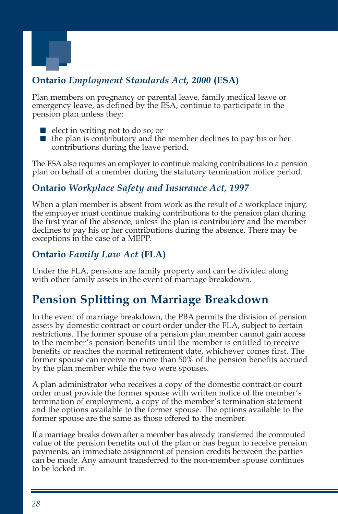

# **Ontario** *Employment Standards Act, 2000* **(ESA)**

Plan members on pregnancy or parental leave, family medical leave or emergency leave, as defined by the ESA, continue to participate in the pension plan unless they:

- elect in writing not to do so; or
- the plan is contributory and the member declines to pay his or her contributions during the leave period.

The ESA also requires an employer to continue making contributions to a pension plan on behalf of a member during the statutory termination notice period.

### **Ontario** *Workplace Safety and Insurance Act, 1997*

When a plan member is absent from work as the result of a workplace injury, the employer must continue making contributions to the pension plan during the first year of the absence, unless the plan is contributory and the member declines to pay his or her contributions during the absence. There may be exceptions in the case of a MEPP.

# **Ontario** *Family Law Act* **(FLA)**

Under the FLA, pensions are family property and can be divided along with other family assets in the event of marriage breakdown.

# **Pension Splitting on Marriage Breakdown**

In the event of marriage breakdown, the PBA permits the division of pension assets by domestic contract or court order under the FLA, subject to certain restrictions. The former spouse of a pension plan member cannot gain access to the member's pension benefits until the member is entitled to receive benefits or reaches the normal retirement date, whichever comes first. The former spouse can receive no more than 50% of the pension benefits accrued by the plan member while the two were spouses.

A plan administrator who receives a copy of the domestic contract or court order must provide the former spouse with written notice of the member's termination of employment, a copy of the member's termination statement and the options available to the former spouse. The options available to the former spouse are the same as those offered to the member.

If a marriage breaks down after a member has already transferred the commuted value of the pension benefits out of the plan or has begun to receive pension payments, an immediate assignment of pension credits between the parties can be made. Any amount transferred to the non-member spouse continues to be locked in.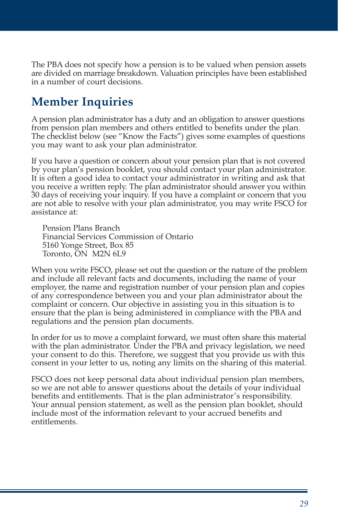The PBA does not specify how a pension is to be valued when pension assets are divided on marriage breakdown. Valuation principles have been established in a number of court decisions.

# **Member Inquiries**

A pension plan administrator has a duty and an obligation to answer questions from pension plan members and others entitled to benefits under the plan. The checklist below (see "Know the Facts") gives some examples of questions you may want to ask your plan administrator.

If you have a question or concern about your pension plan that is not covered by your plan's pension booklet, you should contact your plan administrator. It is often a good idea to contact your administrator in writing and ask that you receive a written reply. The plan administrator should answer you within 30 days of receiving your inquiry. If you have a complaint or concern that you are not able to resolve with your plan administrator, you may write FSCO for assistance at:

Pension Plans Branch Financial Services Commission of Ontario 5160 Yonge Street, Box 85 Toronto, ON M2N 6L9

When you write FSCO, please set out the question or the nature of the problem and include all relevant facts and documents, including the name of your employer, the name and registration number of your pension plan and copies of any correspondence between you and your plan administrator about the complaint or concern. Our objective in assisting you in this situation is to ensure that the plan is being administered in compliance with the PBA and regulations and the pension plan documents.

In order for us to move a complaint forward, we must often share this material with the plan administrator. Under the PBA and privacy legislation, we need your consent to do this. Therefore, we suggest that you provide us with this consent in your letter to us, noting any limits on the sharing of this material.

FSCO does not keep personal data about individual pension plan members, so we are not able to answer questions about the details of your individual benefits and entitlements. That is the plan administrator's responsibility. Your annual pension statement, as well as the pension plan booklet, should include most of the information relevant to your accrued benefits and entitlements.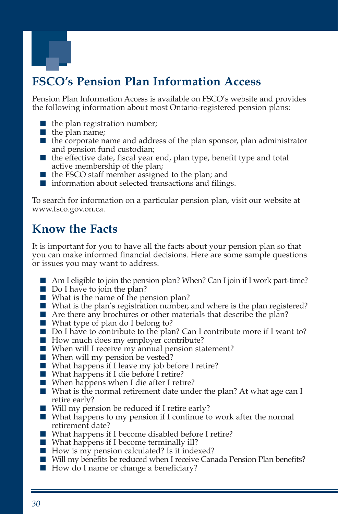

# **FSCO's Pension Plan Information Access**

Pension Plan Information Access is available on FSCO's website and provides the following information about most Ontario-registered pension plans:

- $\blacksquare$  the plan registration number;
- the plan name;
- the corporate name and address of the plan sponsor, plan administrator and pension fund custodian;
- the effective date, fiscal year end, plan type, benefit type and total active membership of the plan;
- the FSCO staff member assigned to the plan; and
- information about selected transactions and filings.

To search for information on a particular pension plan, visit our website at www.fsco.gov.on.ca.

# **Know the Facts**

It is important for you to have all the facts about your pension plan so that you can make informed financial decisions. Here are some sample questions or issues you may want to address.

- Am I eligible to join the pension plan? When? Can I join if I work part-time?
- Do I have to join the plan?
- What is the name of the pension plan?
- What is the plan's registration number, and where is the plan registered?
- Are there any brochures or other materials that describe the plan?
- What type of plan do I belong to?
- Do I have to contribute to the plan? Can I contribute more if I want to?
- How much does my employer contribute?
- When will I receive my annual pension statement?
- When will my pension be vested?
- What happens if I leave my job before I retire?
- What happens if I die before I retire?
- When happens when I die after I retire?
- What is the normal retirement date under the plan? At what age can I retire early?
- Will my pension be reduced if I retire early?
- What happens to my pension if I continue to work after the normal retirement date?
- What happens if I become disabled before I retire?
- What happens if I become terminally ill?
- How is my pension calculated? Is it indexed?
- Will my benefits be reduced when I receive Canada Pension Plan benefits?
- How do I name or change a beneficiary?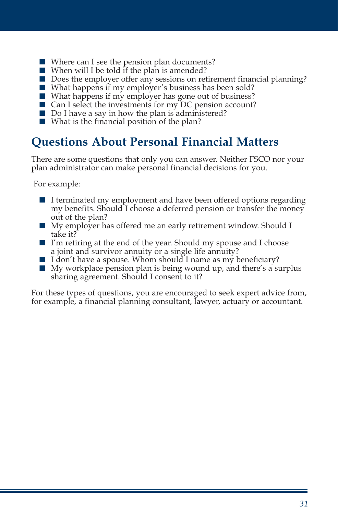- Where can I see the pension plan documents?
- When will I be told if the plan is amended?
- Does the employer offer any sessions on retirement financial planning?
- What happens if my employer's business has been sold?
- What happens if my employer has gone out of business?
- Can I select the investments for my DC pension account?
- Do I have a say in how the plan is administered?
- What is the financial position of the plan?

# **Questions About Personal Financial Matters**

There are some questions that only you can answer. Neither FSCO nor your plan administrator can make personal financial decisions for you.

For example:

- I terminated my employment and have been offered options regarding my benefits. Should I choose a deferred pension or transfer the money out of the plan?
- My employer has offered me an early retirement window. Should I take it?
- I'm retiring at the end of the year. Should my spouse and I choose a joint and survivor annuity or a single life annuity?
- I don't have a spouse. Whom should I name as my beneficiary?
- My workplace pension plan is being wound up, and there's a surplus sharing agreement. Should I consent to it?

For these types of questions, you are encouraged to seek expert advice from, for example, a financial planning consultant, lawyer, actuary or accountant.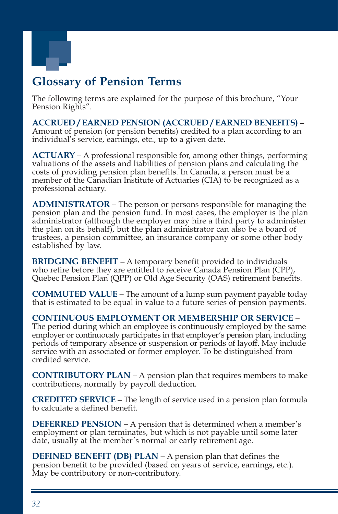

# **Glossary of Pension Terms**

The following terms are explained for the purpose of this brochure, "Your Pension Rights".

**ACCRUED / EARNED PENSION (ACCRUED / EARNED BENEFITS)** – Amount of pension (or pension benefits) credited to a plan according to an individual's service, earnings, etc., up to a given date.

**ACTUARY** – A professional responsible for, among other things, performing valuations of the assets and liabilities of pension plans and calculating the costs of providing pension plan benefits. In Canada, a person must be a member of the Canadian Institute of Actuaries (CIA) to be recognized as a professional actuary.

**ADMINISTRATOR** – The person or persons responsible for managing the pension plan and the pension fund. In most cases, the employer is the plan administrator (although the employer may hire a third party to administer the plan on its behalf), but the plan administrator can also be a board of trustees, a pension committee, an insurance company or some other body established by law.

**BRIDGING BENEFIT** – A temporary benefit provided to individuals who retire before they are entitled to receive Canada Pension Plan (CPP), Quebec Pension Plan (QPP) or Old Age Security (OAS) retirement benefits.

**COMMUTED VALUE** – The amount of a lump sum payment payable today that is estimated to be equal in value to a future series of pension payments.

**CONTINUOUS EMPLOYMENT OR MEMBERSHIP OR SERVICE** – The period during which an employee is continuously employed by the same employer or continuously participates in that employer's pension plan, including periods of temporary absence or suspension or periods of layoff. May include service with an associated or former employer. To be distinguished from credited service.

**CONTRIBUTORY PLAN** – A pension plan that requires members to make contributions, normally by payroll deduction.

**CREDITED SERVICE** – The length of service used in a pension plan formula to calculate a defined benefit.

**DEFERRED PENSION** – A pension that is determined when a member's employment or plan terminates, but which is not payable until some later date, usually at the member's normal or early retirement age.

**DEFINED BENEFIT (DB) PLAN** – A pension plan that defines the pension benefit to be provided (based on years of service, earnings, etc.). May be contributory or non-contributory.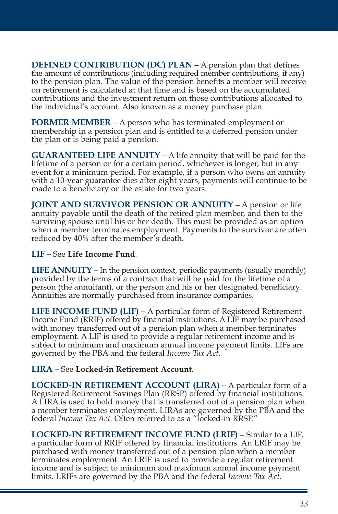**DEFINED CONTRIBUTION (DC) PLAN – A pension plan that defines** the amount of contributions (including required member contributions, if any) to the pension plan. The value of the pension benefits a member will receive on retirement is calculated at that time and is based on the accumulated contributions and the investment return on those contributions allocated to the individual's account. Also known as a money purchase plan.

**FORMER MEMBER** – A person who has terminated employment or membership in a pension plan and is entitled to a deferred pension under the plan or is being paid a pension.

**GUARANTEED LIFE ANNUITY** – A life annuity that will be paid for the lifetime of a person or for a certain period, whichever is longer, but in any event for a minimum period. For example, if a person who owns an annuity with a 10-year guarantee dies after eight years, payments will continue to be made to a beneficiary or the estate for two years.

**JOINT AND SURVIVOR PENSION OR ANNUITY** – A pension or life annuity payable until the death of the retired plan member, and then to the surviving spouse until his or her death. This must be provided as an option when a member terminates employment. Payments to the survivor are often reduced by 40% after the member's death.

#### **LIF** – See **Life Income Fund**.

**LIFE ANNUITY** – In the pension context, periodic payments (usually monthly) provided by the terms of a contract that will be paid for the lifetime of a person (the annuitant), or the person and his or her designated beneficiary. Annuities are normally purchased from insurance companies.

**LIFE INCOME FUND (LIF)** – A particular form of Registered Retirement Income Fund (RRIF) offered by financial institutions. A LIF may be purchased with money transferred out of a pension plan when a member terminates employment. A LIF is used to provide a regular retirement income and is subject to minimum and maximum annual income payment limits. LIFs are governed by the PBA and the federal *Income Tax Act*.

#### **LIRA** – See **Locked-in Retirement Account**.

**LOCKED-IN RETIREMENT ACCOUNT (LIRA)** – A particular form of a Registered Retirement Savings Plan (RRSP) offered by financial institutions. A LIRA is used to hold money that is transferred out of a pension plan when a member terminates employment. LIRAs are governed by the PBA and the federal *Income Tax Act*. Often referred to as a "locked-in RRSP."

**LOCKED-IN RETIREMENT INCOME FUND (LRIF)** – Similar to a LIF, a particular form of RRIF offered by financial institutions. An LRIF may be purchased with money transferred out of a pension plan when a member terminates employment. An LRIF is used to provide a regular retirement income and is subject to minimum and maximum annual income payment limits. LRIFs are governed by the PBA and the federal *Income Tax Act*.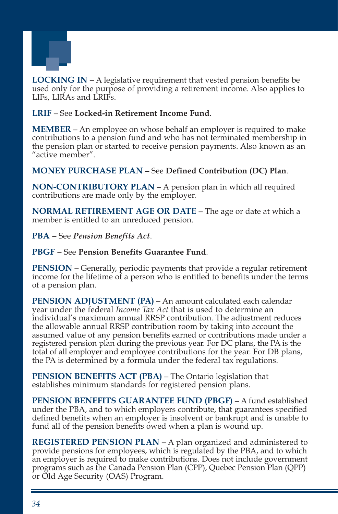

**LOCKING IN** – A legislative requirement that vested pension benefits be used only for the purpose of providing a retirement income. Also applies to LIFs, LIRAs and LRIFs.

#### **LRIF** – See **Locked-in Retirement Income Fund**.

**MEMBER** – An employee on whose behalf an employer is required to make contributions to a pension fund and who has not terminated membership in the pension plan or started to receive pension payments. Also known as an "active member".

#### **MONEY PURCHASE PLAN** – See **Defined Contribution (DC) Plan**.

**NON-CONTRIBUTORY PLAN** – A pension plan in which all required contributions are made only by the employer.

**NORMAL RETIREMENT AGE OR DATE** – The age or date at which a member is entitled to an unreduced pension.

**PBA** – See *Pension Benefits Act*.

#### **PBGF** – See **Pension Benefits Guarantee Fund**.

**PENSION** – Generally, periodic payments that provide a regular retirement income for the lifetime of a person who is entitled to benefits under the terms of a pension plan.

**PENSION ADJUSTMENT (PA) – An amount calculated each calendar** year under the federal *Income Tax Act* that is used to determine an individual's maximum annual RRSP contribution. The adjustment reduces the allowable annual RRSP contribution room by taking into account the assumed value of any pension benefits earned or contributions made under a registered pension plan during the previous year. For DC plans, the PA is the total of all employer and employee contributions for the year. For DB plans, the PA is determined by a formula under the federal tax regulations.

**PENSION BENEFITS ACT (PBA)** – The Ontario legislation that establishes minimum standards for registered pension plans.

**PENSION BENEFITS GUARANTEE FUND (PBGF)** – A fund established under the PBA, and to which employers contribute, that guarantees specified defined benefits when an employer is insolvent or bankrupt and is unable to fund all of the pension benefits owed when a plan is wound up.

**REGISTERED PENSION PLAN** – A plan organized and administered to provide pensions for employees, which is regulated by the PBA, and to which an employer is required to make contributions. Does not include government programs such as the Canada Pension Plan (CPP), Quebec Pension Plan (QPP) or Old Age Security (OAS) Program.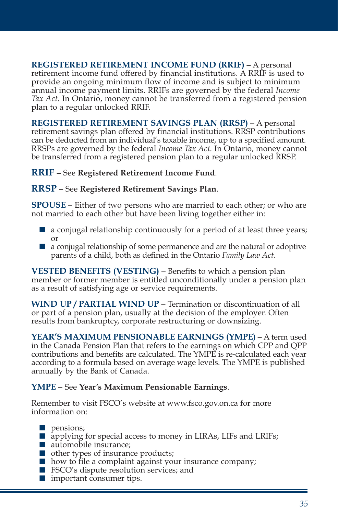**REGISTERED RETIREMENT INCOME FUND (RRIF)** – A personal retirement income fund offered by financial institutions. A RRIF is used to provide an ongoing minimum flow of income and is subject to minimum annual income payment limits. RRIFs are governed by the federal *Income Tax Act.* In Ontario, money cannot be transferred from a registered pension plan to a regular unlocked RRIF.

**REGISTERED RETIREMENT SAVINGS PLAN (RRSP)** – A personal retirement savings plan offered by financial institutions. RRSP contributions can be deducted from an individual's taxable income, up to a specified amount. RRSPs are governed by the federal *Income Tax Act.* In Ontario, money cannot be transferred from a registered pension plan to a regular unlocked RRSP.

#### **RRIF** – See **Registered Retirement Income Fund**.

#### **RRSP** – See **Registered Retirement Savings Plan**.

**SPOUSE** – Either of two persons who are married to each other; or who are not married to each other but have been living together either in:

- a conjugal relationship continuously for a period of at least three years; or
- a conjugal relationship of some permanence and are the natural or adoptive parents of a child, both as defined in the Ontario *Family Law Act.*

**VESTED BENEFITS (VESTING)** – Benefits to which a pension plan member or former member is entitled unconditionally under a pension plan as a result of satisfying age or service requirements.

**WIND UP / PARTIAL WIND UP** – Termination or discontinuation of all or part of a pension plan, usually at the decision of the employer. Often results from bankruptcy, corporate restructuring or downsizing.

**YEAR'S MAXIMUM PENSIONABLE EARNINGS (YMPE)** – A term used in the Canada Pension Plan that refers to the earnings on which CPP and QPP contributions and benefits are calculated. The YMPE is re-calculated each year according to a formula based on average wage levels. The YMPE is published annually by the Bank of Canada.

#### **YMPE** – See **Year's Maximum Pensionable Earnings**.

Remember to visit FSCO's website at www.fsco.gov.on.ca for more information on:

- pensions:
- applying for special access to money in LIRAs, LIFs and LRIFs;
- automobile insurance;
- other types of insurance products;
- how to file a complaint against your insurance company;
- FSCO's dispute resolution services; and
- important consumer tips.